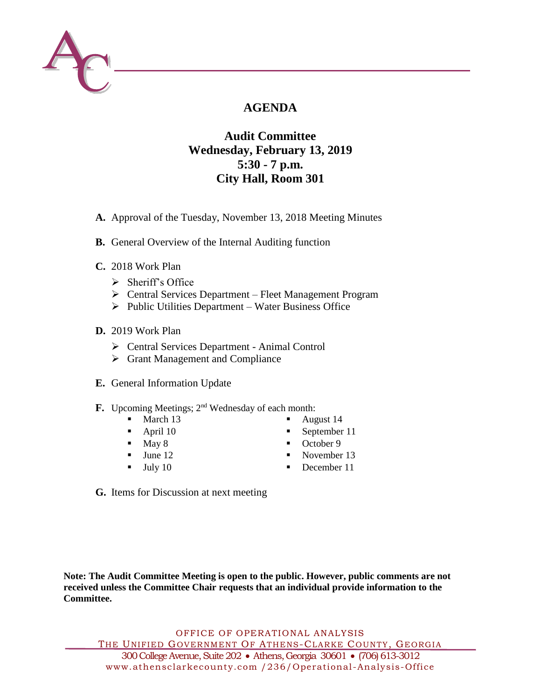

# **AGENDA**

## **Audit Committee Wednesday, February 13, 2019 5:30 - 7 p.m. City Hall, Room 301**

- **A.** Approval of the Tuesday, November 13, 2018 Meeting Minutes
- **B.** General Overview of the Internal Auditing function
- **C.** 2018 Work Plan
	- $\triangleright$  Sheriff's Office
	- Central Services Department Fleet Management Program
	- $\triangleright$  Public Utilities Department Water Business Office
- **D.** 2019 Work Plan
	- Central Services Department Animal Control
	- Grant Management and Compliance
- **E.** General Information Update
- **F.** Upcoming Meetings; 2<sup>nd</sup> Wednesday of each month:
	- $\blacksquare$  March 13
	- $\blacksquare$  April 10
	- $\blacksquare$  May 8
	- $\blacksquare$  June 12
	- $\blacksquare$  July 10
- August 14
- September 11
- October 9
- November 13
- December 11
- **G.** Items for Discussion at next meeting

**Note: The Audit Committee Meeting is open to the public. However, public comments are not received unless the Committee Chair requests that an individual provide information to the Committee.**